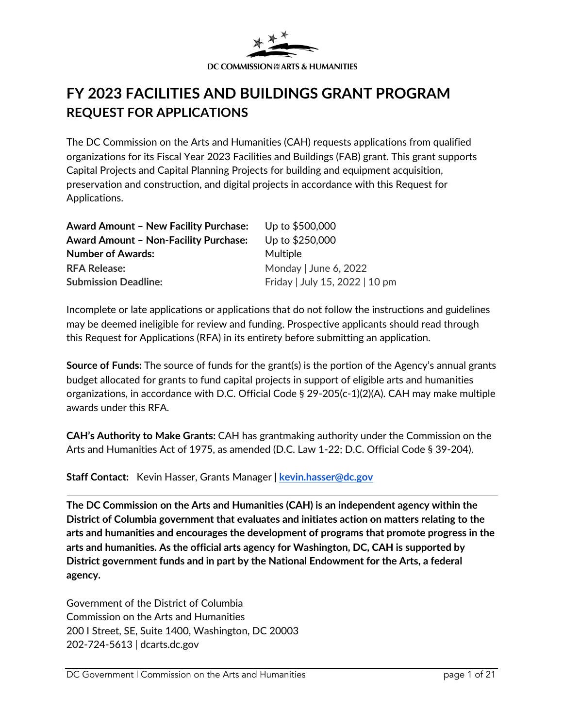

# **FY 2023 FACILITIES AND BUILDINGS GRANT PROGRAM REQUEST FOR APPLICATIONS**

The DC Commission on the Arts and Humanities (CAH) requests applications from qualified organizations for its Fiscal Year 2023 Facilities and Buildings (FAB) grant. This grant supports Capital Projects and Capital Planning Projects for building and equipment acquisition, preservation and construction, and digital projects in accordance with this Request for Applications.

| <b>Award Amount - New Facility Purchase:</b> | Up to \$500,000                |
|----------------------------------------------|--------------------------------|
| <b>Award Amount - Non-Facility Purchase:</b> | Up to \$250,000                |
| <b>Number of Awards:</b>                     | Multiple                       |
| <b>RFA Release:</b>                          | Monday   June 6, 2022          |
| <b>Submission Deadline:</b>                  | Friday   July 15, 2022   10 pm |

Incomplete or late applications or applications that do not follow the instructions and guidelines may be deemed ineligible for review and funding. Prospective applicants should read through this Request for Applications (RFA) in its entirety before submitting an application.

**Source of Funds:** The source of funds for the grant(s) is the portion of the Agency's annual grants budget allocated for grants to fund capital projects in support of eligible arts and humanities organizations, in accordance with D.C. Official Code § 29-205(c-1)(2)(A). CAH may make multiple awards under this RFA.

**CAH's Authority to Make Grants:** CAH has grantmaking authority under the Commission on the Arts and Humanities Act of 1975, as amended (D.C. Law 1-22; D.C. Official Code § 39-204).

**Staff Contact:** Kevin Hasser, Grants Manager **| [kevin.hasser@dc.gov](mailto:kevin.hasser@dc.gov)**

**The DC Commission on the Arts and Humanities (CAH) is an independent agency within the District of Columbia government that evaluates and initiates action on matters relating to the arts and humanities and encourages the development of programs that promote progress in the arts and humanities. As the official arts agency for Washington, DC, CAH is supported by District government funds and in part by the National Endowment for the Arts, a federal agency.** 

Government of the District of Columbia Commission on the Arts and Humanities 200 I Street, SE, Suite 1400, Washington, DC 20003 202-724-5613 | dcarts.dc.gov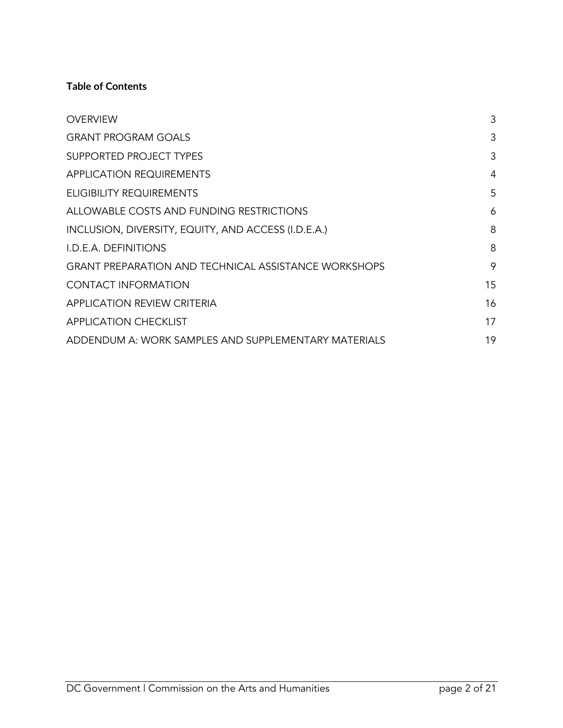#### **Table of Contents**

| <b>OVERVIEW</b>                                             | 3  |
|-------------------------------------------------------------|----|
| <b>GRANT PROGRAM GOALS</b>                                  | 3  |
| <b>SUPPORTED PROJECT TYPES</b>                              | 3  |
| <b>APPLICATION REQUIREMENTS</b>                             | 4  |
| ELIGIBILITY REQUIREMENTS                                    | 5  |
| ALLOWABLE COSTS AND FUNDING RESTRICTIONS                    | 6  |
| INCLUSION, DIVERSITY, EQUITY, AND ACCESS (I.D.E.A.)         | 8  |
| I.D.E.A. DEFINITIONS                                        | 8  |
| <b>GRANT PREPARATION AND TECHNICAL ASSISTANCE WORKSHOPS</b> | 9  |
| <b>CONTACT INFORMATION</b>                                  | 15 |
| <b>APPLICATION REVIEW CRITERIA</b>                          | 16 |
| <b>APPLICATION CHECKLIST</b>                                | 17 |
| ADDENDUM A: WORK SAMPLES AND SUPPLEMENTARY MATERIALS        | 19 |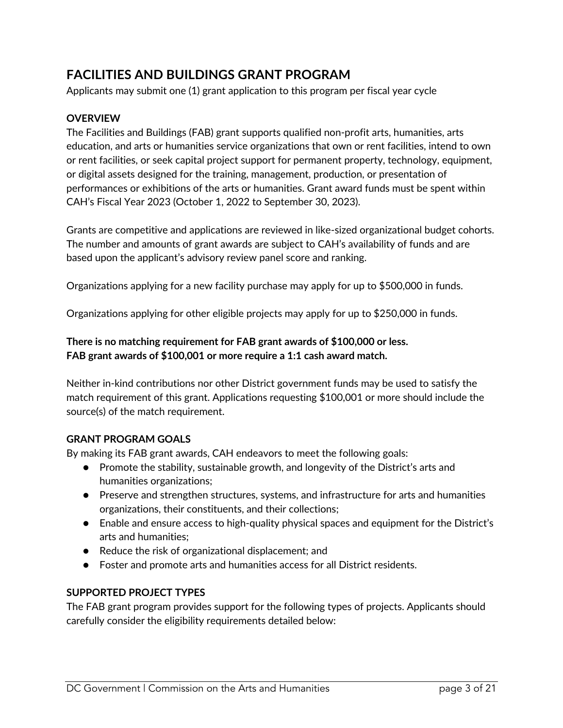## **[FACILITIES AND BUILDINGS GRANT PROGRAM](#page-18-0)**

[Applicants](#page-18-0) may submit one (1) grant application to this program per fiscal year cycle

#### <span id="page-2-0"></span>**OVERVIEW**

The Facilities and Buildings (FAB) grant supports qualified non-profit arts, humanities, arts education, and arts or humanities service organizations that own or rent facilities, intend to own or rent facilities, or seek capital project support for permanent property, technology, equipment, or digital assets designed for the training, management, production, or presentation of performances or exhibitions of the arts or humanities. Grant award funds must be spent within CAH's Fiscal Year 2023 (October 1, 2022 to September 30, 2023).

Grants are competitive and applications are reviewed in like-sized organizational budget cohorts. The number and amounts of grant awards are subject to CAH's availability of funds and are based upon the applicant's advisory review panel score and ranking.

Organizations applying for a new facility purchase may apply for up to \$500,000 in funds.

Organizations applying for other eligible projects may apply for up to \$250,000 in funds.

#### **There is no matching requirement for FAB grant awards of \$100,000 or less. FAB grant awards of \$100,001 or more require a 1:1 cash award match.**

Neither in-kind contributions nor other District government funds may be used to satisfy the match requirement of this grant. Applications requesting \$100,001 or more should include the source(s) of the match requirement.

#### **GRANT PROGRAM GOALS**

By making its FAB grant awards, CAH endeavors to meet the following goals:

- <span id="page-2-1"></span>● Promote the stability, sustainable growth, and longevity of the District's arts and humanities organizations;
- Preserve and strengthen structures, systems, and infrastructure for arts and humanities organizations, their constituents, and their collections;
- Enable and ensure access to high-quality physical spaces and equipment for the District's arts and humanities;
- Reduce the risk of organizational displacement; and
- <span id="page-2-2"></span>● Foster and promote arts and humanities access for all District residents.

#### **SUPPORTED PROJECT TYPES**

The FAB grant program provides support for the following types of projects. Applicants should carefully consider the eligibility requirements detailed below: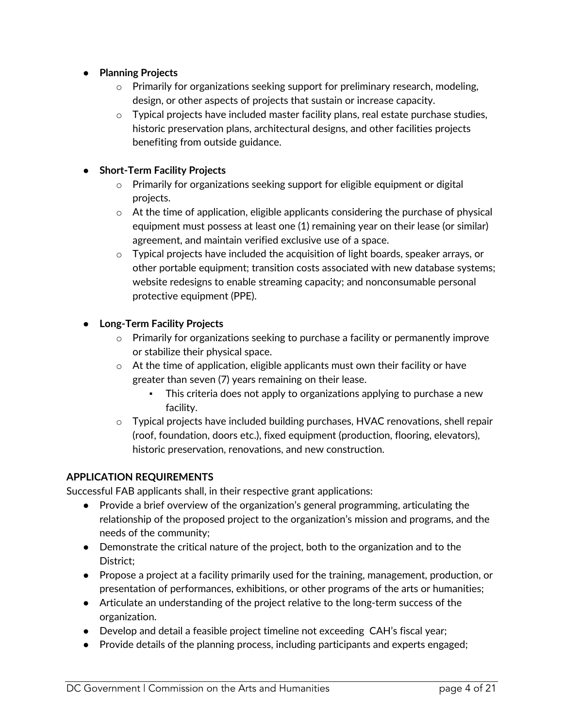- **Planning Projects**
	- $\circ$  Primarily for organizations seeking support for preliminary research, modeling, design, or other aspects of projects that sustain or increase capacity.
	- $\circ$  Typical projects have included master facility plans, real estate purchase studies, historic preservation plans, architectural designs, and other facilities projects benefiting from outside guidance.

#### ● **Short-Term Facility Projects**

- o Primarily for organizations seeking support for eligible equipment or digital projects.
- o At the time of application, eligible applicants considering the purchase of physical equipment must possess at least one (1) remaining year on their lease (or similar) agreement, and maintain verified exclusive use of a space.
- $\circ$  Typical projects have included the acquisition of light boards, speaker arrays, or other portable equipment; transition costs associated with new database systems; website redesigns to enable streaming capacity; and nonconsumable personal protective equipment (PPE).

#### ● **Long-Term Facility Projects**

- $\circ$  Primarily for organizations seeking to purchase a facility or permanently improve or stabilize their physical space.
- $\circ$  At the time of application, eligible applicants must own their facility or have greater than seven (7) years remaining on their lease.
	- **•** This criteria does not apply to organizations applying to purchase a new facility.
- <span id="page-3-0"></span> $\circ$  Typical projects have included building purchases, HVAC renovations, shell repair (roof, foundation, doors etc.), fixed equipment (production, flooring, elevators), historic preservation, renovations, and new construction.

#### **APPLICATION REQUIREMENTS**

Successful FAB applicants shall, in their respective grant applications:

- Provide a brief overview of the organization's general programming, articulating the relationship of the proposed project to the organization's mission and programs, and the needs of the community;
- Demonstrate the critical nature of the project, both to the organization and to the District;
- Propose a project at a facility primarily used for the training, management, production, or presentation of performances, exhibitions, or other programs of the arts or humanities;
- Articulate an understanding of the project relative to the long-term success of the organization.
- Develop and detail a feasible project timeline not exceeding CAH's fiscal year;
- Provide details of the planning process, including participants and experts engaged;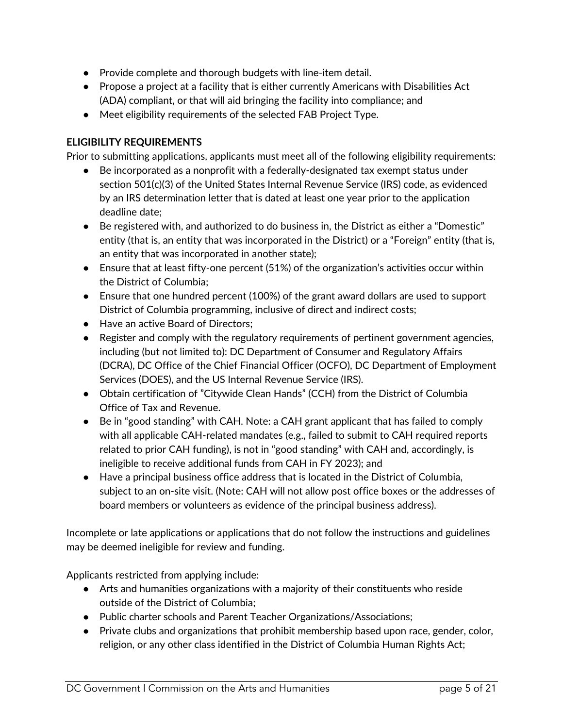- Provide complete and thorough budgets with line-item detail.
- Propose a project at a facility that is either currently Americans with Disabilities Act (ADA) compliant, or that will aid bringing the facility into compliance; and
- <span id="page-4-0"></span>● Meet eligibility requirements of the selected FAB Project Type.

#### **ELIGIBILITY REQUIREMENTS**

Prior to submitting applications, applicants must meet all of the following eligibility requirements:

- Be incorporated as a nonprofit with a federally-designated tax exempt status under section 501(c)(3) of the United States Internal Revenue Service (IRS) code, as evidenced by an IRS determination letter that is dated at least one year prior to the application deadline date;
- Be registered with, and authorized to do business in, the District as either a "Domestic" entity (that is, an entity that was incorporated in the District) or a "Foreign" entity (that is, an entity that was incorporated in another state);
- Ensure that at least fifty-one percent (51%) of the organization's activities occur within the District of Columbia;
- Ensure that one hundred percent (100%) of the grant award dollars are used to support District of Columbia programming, inclusive of direct and indirect costs;
- Have an active Board of Directors;
- Register and comply with the regulatory requirements of pertinent government agencies, including (but not limited to): DC Department of Consumer and Regulatory Affairs (DCRA), DC Office of the Chief Financial Officer (OCFO), DC Department of Employment Services (DOES), and the US Internal Revenue Service (IRS).
- Obtain certification of "Citywide Clean Hands" (CCH) from the District of Columbia Office of Tax and Revenue.
- Be in "good standing" with CAH. Note: a CAH grant applicant that has failed to comply with all applicable CAH-related mandates (e.g., failed to submit to CAH required reports related to prior CAH funding), is not in "good standing" with CAH and, accordingly, is ineligible to receive additional funds from CAH in FY 2023); and
- Have a principal business office address that is located in the District of Columbia, subject to an on-site visit. (Note: CAH will not allow post office boxes or the addresses of board members or volunteers as evidence of the principal business address).

Incomplete or late applications or applications that do not follow the instructions and guidelines may be deemed ineligible for review and funding.

Applicants restricted from applying include:

- Arts and humanities organizations with a majority of their constituents who reside outside of the District of Columbia;
- Public charter schools and Parent Teacher Organizations/Associations;
- Private clubs and organizations that prohibit membership based upon race, gender, color, religion, or any other class identified in the District of Columbia Human Rights Act;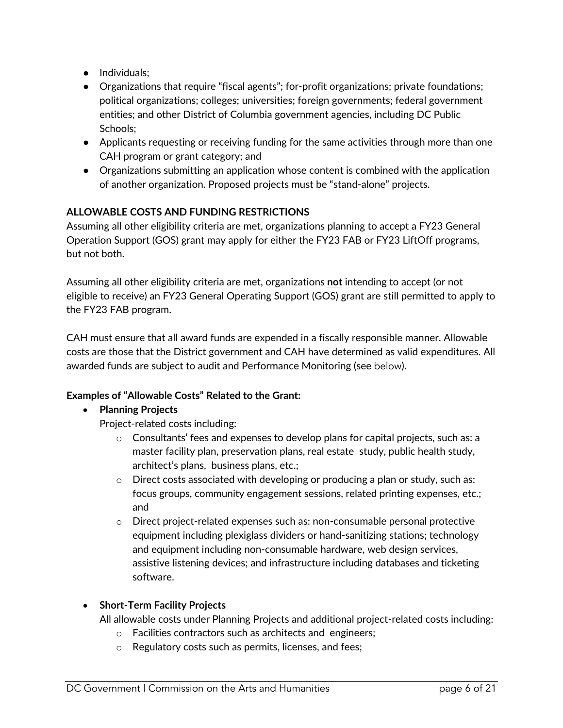- Individuals;
- Organizations that require "fiscal agents"; for-profit organizations; private foundations; political organizations; colleges; universities; foreign governments; federal government entities; and other District of Columbia government agencies, including DC Public Schools;
- Applicants requesting or receiving funding for the same activities through more than one CAH program or grant category; and
- <span id="page-5-0"></span>● Organizations submitting an application whose content is combined with the application of another organization. Proposed projects must be "stand-alone" projects.

## **ALLOWABLE COSTS AND FUNDING RESTRICTIONS**

Assuming all other eligibility criteria are met, organizations planning to accept a FY23 General Operation Support (GOS) grant may apply for either the FY23 FAB or FY23 LiftOff programs, but not both.

Assuming all other eligibility criteria are met, organizations **not** intending to accept (or not eligible to receive) an FY23 General Operating Support (GOS) grant are still permitted to apply to the FY23 FAB program.

CAH must ensure that all award funds are expended in a fiscally responsible manner. Allowable costs are those that the District government and CAH have determined as valid expenditures. All awarded funds are subject to audit and Performance Monitoring (see below).

## **Examples of "Allowable Costs" Related to the Grant:**

#### • **Planning Projects**

- Project-related costs including:
	- $\circ$  Consultants' fees and expenses to develop plans for capital projects, such as: a master facility plan, preservation plans, real estate study, public health study, architect's plans, business plans, etc.;
	- $\circ$  Direct costs associated with developing or producing a plan or study, such as: focus groups, community engagement sessions, related printing expenses, etc.; and
	- o Direct project-related expenses such as: non-consumable personal protective equipment including plexiglass dividers or hand-sanitizing stations; technology and equipment including non-consumable hardware, web design services, assistive listening devices; and infrastructure including databases and ticketing software.

#### • **Short-Term Facility Projects**

All allowable costs under Planning Projects and additional project-related costs including:

- o Facilities contractors such as architects and engineers;
- o Regulatory costs such as permits, licenses, and fees;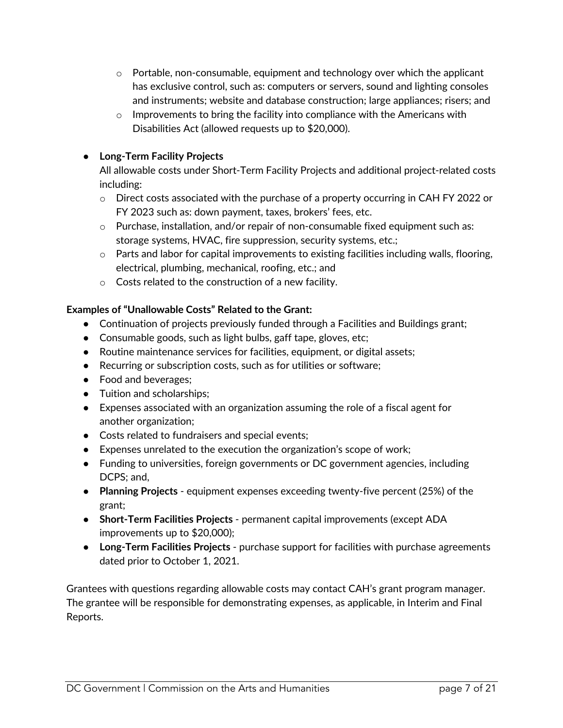- $\circ$  Portable, non-consumable, equipment and technology over which the applicant has exclusive control, such as: computers or servers, sound and lighting consoles and instruments; website and database construction; large appliances; risers; and
- $\circ$  Improvements to bring the facility into compliance with the Americans with Disabilities Act (allowed requests up to \$20,000).

## ● **Long-Term Facility Projects**

All allowable costs under Short-Term Facility Projects and additional project-related costs including:

- $\circ$  Direct costs associated with the purchase of a property occurring in CAH FY 2022 or FY 2023 such as: down payment, taxes, brokers' fees, etc.
- $\circ$  Purchase, installation, and/or repair of non-consumable fixed equipment such as: storage systems, HVAC, fire suppression, security systems, etc.;
- $\circ$  Parts and labor for capital improvements to existing facilities including walls, flooring, electrical, plumbing, mechanical, roofing, etc.; and
- o Costs related to the construction of a new facility.

## **Examples of "Unallowable Costs" Related to the Grant:**

- Continuation of projects previously funded through a Facilities and Buildings grant;
- Consumable goods, such as light bulbs, gaff tape, gloves, etc;
- Routine maintenance services for facilities, equipment, or digital assets;
- Recurring or subscription costs, such as for utilities or software;
- Food and beverages;
- Tuition and scholarships;
- Expenses associated with an organization assuming the role of a fiscal agent for another organization;
- Costs related to fundraisers and special events;
- Expenses unrelated to the execution the organization's scope of work;
- Funding to universities, foreign governments or DC government agencies, including DCPS; and,
- **Planning Projects** equipment expenses exceeding twenty-five percent (25%) of the grant;
- **Short-Term Facilities Projects**  permanent capital improvements (except ADA improvements up to \$20,000);
- **Long-Term Facilities Projects**  purchase support for facilities with purchase agreements dated prior to October 1, 2021.

Grantees with questions regarding allowable costs may contact CAH's grant program manager. The grantee will be responsible for demonstrating expenses, as applicable, in Interim and Final Reports.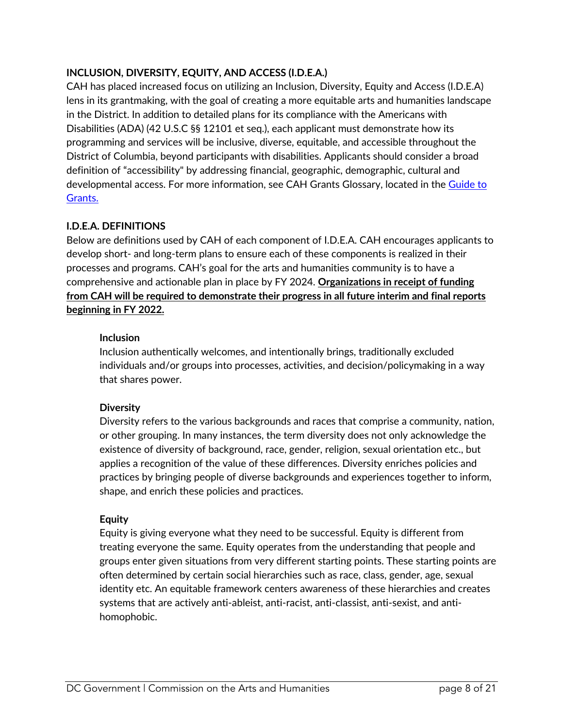## <span id="page-7-0"></span>**INCLUSION, DIVERSITY, EQUITY, AND ACCESS (I.D.E.A.)**

CAH has placed increased focus on utilizing an Inclusion, Diversity, Equity and Access (I.D.E.A) lens in its grantmaking, with the goal of creating a more equitable arts and humanities landscape in the District. In addition to detailed plans for its compliance with the Americans with Disabilities (ADA) (42 U.S.C §§ 12101 et seq.), each applicant must demonstrate how its programming and services will be inclusive, diverse, equitable, and accessible throughout the District of Columbia, beyond participants with disabilities. Applicants should consider a broad definition of "accessibility" by addressing financial, geographic, demographic, cultural and developmental access. For more information, see CAH Grants Glossary, located in the [Guide to](https://dcarts.dc.gov/node/1579326) [Grants.](https://dcarts.dc.gov/node/1579326)

#### <span id="page-7-1"></span>**I.D.E.A. DEFINITIONS**

Below are definitions used by CAH of each component of I.D.E.A. CAH encourages applicants to develop short- and long-term plans to ensure each of these components is realized in their processes and programs. CAH's goal for the arts and humanities community is to have a comprehensive and actionable plan in place by FY 2024. **Organizations in receipt of funding from CAH will be required to demonstrate their progress in all future interim and final reports beginning in FY 2022.** 

#### **Inclusion**

Inclusion authentically welcomes, and intentionally brings, traditionally excluded individuals and/or groups into processes, activities, and decision/policymaking in a way that shares power.

#### **Diversity**

Diversity refers to the various backgrounds and races that comprise a community, nation, or other grouping. In many instances, the term diversity does not only acknowledge the existence of diversity of background, race, gender, religion, sexual orientation etc., but applies a recognition of the value of these differences. Diversity enriches policies and practices by bringing people of diverse backgrounds and experiences together to inform, shape, and enrich these policies and practices.

#### **Equity**

Equity is giving everyone what they need to be successful. Equity is different from treating everyone the same. Equity operates from the understanding that people and groups enter given situations from very different starting points. These starting points are often determined by certain social hierarchies such as race, class, gender, age, sexual identity etc. An equitable framework centers awareness of these hierarchies and creates systems that are actively anti-ableist, anti-racist, anti-classist, anti-sexist, and antihomophobic.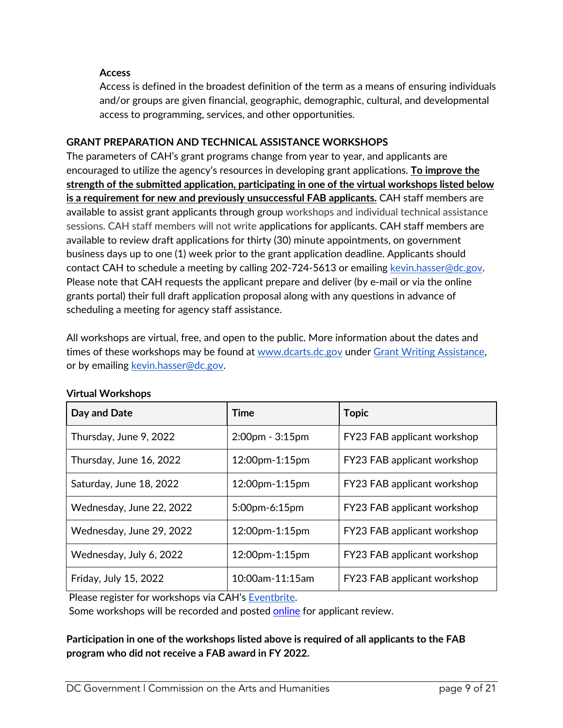#### **Access**

<span id="page-8-0"></span>Access is defined in the broadest definition of the term as a means of ensuring individuals and/or groups are given financial, geographic, demographic, cultural, and developmental access to programming, services, and other opportunities.

#### **GRANT PREPARATION AND TECHNICAL ASSISTANCE WORKSHOPS**

The parameters of CAH's grant programs change from year to year, and applicants are encouraged to utilize the agency's resources in developing grant applications. **To improve the strength of the submitted application, participating in one of the virtual workshops listed below is a requirement for new and previously unsuccessful FAB applicants.** CAH staff members are available to assist grant applicants through group workshops and individual technical assistance sessions. CAH staff members will not write applications for applicants. CAH staff members are available to review draft applications for thirty (30) minute appointments, on government business days up to one (1) week prior to the grant application deadline. Applicants should contact CAH to schedule a meeting by calling 202-724-5613 or emailing [kevin.hasser@dc.gov](mailto:kevin.hasser@dc.gov). Please note that CAH requests the applicant prepare and deliver (by e-mail or via the online grants portal) their full draft application proposal along with any questions in advance of scheduling a meeting for agency staff assistance.

All workshops are virtual, free, and open to the public. More information about the dates and times of these workshops may be found at [www.dcarts.dc.gov](http://www.dcarts.dc.gov/) under [Grant Writing Assistance](http://dcarts.dc.gov/node/408112), or by emailing [kevin.hasser@dc.gov](mailto:kevin.hasser@dc.gov).

| Day and Date             | Time                  | <b>Topic</b>                |
|--------------------------|-----------------------|-----------------------------|
| Thursday, June 9, 2022   | $2:00$ pm - $3:15$ pm | FY23 FAB applicant workshop |
| Thursday, June 16, 2022  | 12:00pm-1:15pm        | FY23 FAB applicant workshop |
| Saturday, June 18, 2022  | 12:00pm-1:15pm        | FY23 FAB applicant workshop |
| Wednesday, June 22, 2022 | 5:00pm-6:15pm         | FY23 FAB applicant workshop |
| Wednesday, June 29, 2022 | 12:00pm-1:15pm        | FY23 FAB applicant workshop |
| Wednesday, July 6, 2022  | 12:00pm-1:15pm        | FY23 FAB applicant workshop |
| Friday, July 15, 2022    | 10:00am-11:15am       | FY23 FAB applicant workshop |

#### **Virtual Workshops**

Please register for workshops via CAH's [Eventbrite](https://www.eventbrite.com/o/dc-commission-on-the-arts-and-humanities-cah-1252966799).

Some workshops will be recorded and posted [online](http://dcarts.dc.gov/) for applicant review.

**Participation in one of the workshops listed above is required of all applicants to the FAB program who did not receive a FAB award in FY 2022.**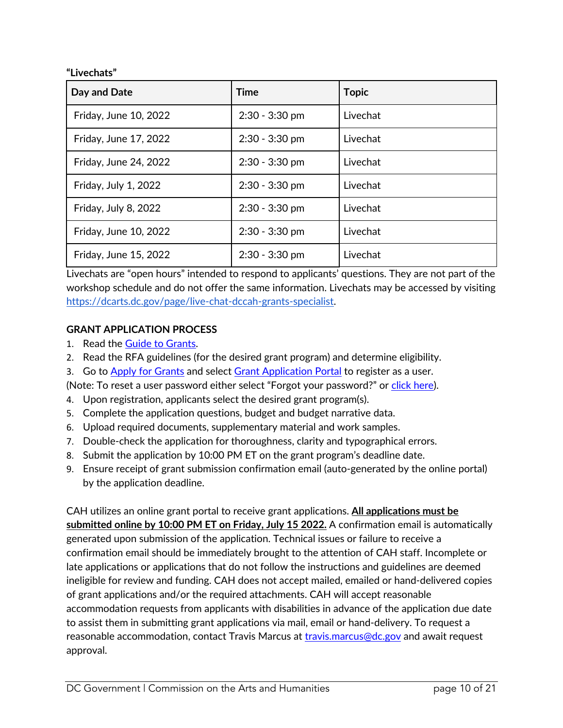**"Livechats"**

| Day and Date          | <b>Time</b>      | <b>Topic</b> |
|-----------------------|------------------|--------------|
| Friday, June 10, 2022 | $2:30 - 3:30$ pm | Livechat     |
| Friday, June 17, 2022 | $2:30 - 3:30$ pm | Livechat     |
| Friday, June 24, 2022 | $2:30 - 3:30$ pm | Livechat     |
| Friday, July 1, 2022  | $2:30 - 3:30$ pm | Livechat     |
| Friday, July 8, 2022  | $2:30 - 3:30$ pm | Livechat     |
| Friday, June 10, 2022 | $2:30 - 3:30$ pm | Livechat     |
| Friday, June 15, 2022 | $2:30 - 3:30$ pm | Livechat     |

Livechats are "open hours" intended to respond to applicants' questions. They are not part of the workshop schedule and do not offer the same information. Livechats may be accessed by visiting <https://dcarts.dc.gov/page/live-chat-dccah-grants-specialist>.

#### **GRANT APPLICATION PROCESS**

- 1. Read the [Guide to Grants](https://dcarts.dc.gov/node/1579326).
- 2. Read the RFA guidelines (for the desired grant program) and determine eligibility.
- 3. Go to [Apply for Grants](http://dcarts.dc.gov/service/apply-grants) and select [Grant Application Portal](https://jlweb.co/prod1/portal/portal.jsp?c=4193775&p=6947885&g=6947905) to register as a user.

(Note: To reset a user password either select "Forgot your password?" or [click here](https://jlweb.co/prod1/portal/forgotPassword.jsp?c=4193775&p=6947885&g=6948747&objDefId=6943961)).

- 4. Upon registration, applicants select the desired grant program(s).
- 5. Complete the application questions, budget and budget narrative data.
- 6. Upload required documents, supplementary material and work samples.
- 7. Double-check the application for thoroughness, clarity and typographical errors.
- 8. Submit the application by 10:00 PM ET on the grant program's deadline date.
- 9. Ensure receipt of grant submission confirmation email (auto-generated by the online portal) by the application deadline.

## CAH utilizes an online grant portal to receive grant applications. **All applications must be**

**submitted online by 10:00 PM ET on Friday, July 15 2022.** A confirmation email is automatically generated upon submission of the application. Technical issues or failure to receive a confirmation email should be immediately brought to the attention of CAH staff. Incomplete or late applications or applications that do not follow the instructions and guidelines are deemed ineligible for review and funding. CAH does not accept mailed, emailed or hand-delivered copies of grant applications and/or the required attachments. CAH will accept reasonable accommodation requests from applicants with disabilities in advance of the application due date to assist them in submitting grant applications via mail, email or hand-delivery. To request a reasonable accommodation, contact Travis Marcus at [travis.marcus@dc.gov](mailto:travis.marcus@dc.gov) and await request approval.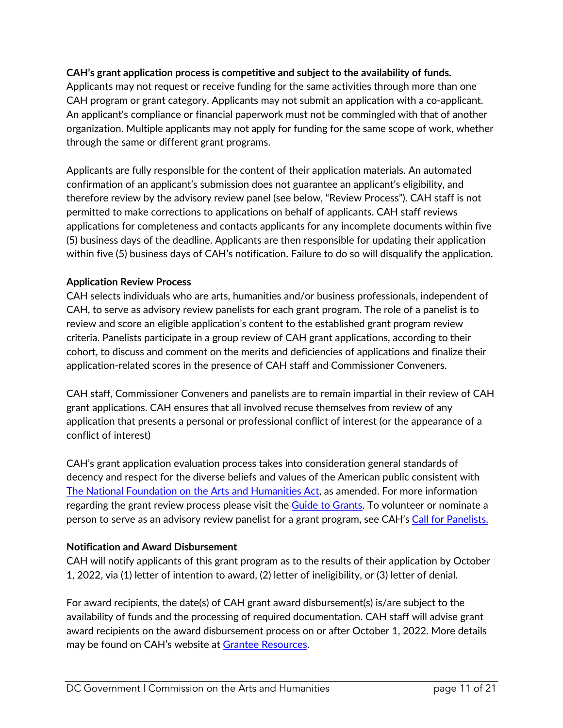#### **CAH's grant application process is competitive and subject to the availability of funds.**

Applicants may not request or receive funding for the same activities through more than one CAH program or grant category. Applicants may not submit an application with a co-applicant. An applicant's compliance or financial paperwork must not be commingled with that of another organization. Multiple applicants may not apply for funding for the same scope of work, whether through the same or different grant programs.

Applicants are fully responsible for the content of their application materials. An automated confirmation of an applicant's submission does not guarantee an applicant's eligibility, and therefore review by the advisory review panel (see below, "Review Process"). CAH staff is not permitted to make corrections to applications on behalf of applicants. CAH staff reviews applications for completeness and contacts applicants for any incomplete documents within five (5) business days of the deadline. Applicants are then responsible for updating their application within five (5) business days of CAH's notification. Failure to do so will disqualify the application.

#### **Application Review Process**

CAH selects individuals who are arts, humanities and/or business professionals, independent of CAH, to serve as advisory review panelists for each grant program. The role of a panelist is to review and score an eligible application's content to the established grant program review criteria. Panelists participate in a group review of CAH grant applications, according to their cohort, to discuss and comment on the merits and deficiencies of applications and finalize their application-related scores in the presence of CAH staff and Commissioner Conveners.

CAH staff, Commissioner Conveners and panelists are to remain impartial in their review of CAH grant applications. CAH ensures that all involved recuse themselves from review of any application that presents a personal or professional conflict of interest (or the appearance of a conflict of interest)

CAH's grant application evaluation process takes into consideration general standards of decency and respect for the diverse beliefs and values of the American public consistent with [The National Foundation on the Arts and Humanities Act](https://www.arts.gov/sites/default/files/Legislation.pdf), as amended. For more information regarding the grant review process please visit the [Guide to Grants](https://dcarts.dc.gov/node/1579326). To volunteer or nominate a person to serve as an advisory review panelist for a grant program, see CAH's [Call for Panelists.](https://dcarts.dc.gov/page/fy19-call-grants-panelists)

#### **Notification and Award Disbursement**

CAH will notify applicants of this grant program as to the results of their application by October 1, 2022, via (1) letter of intention to award, (2) letter of ineligibility, or (3) letter of denial.

For award recipients, the date(s) of CAH grant award disbursement(s) is/are subject to the availability of funds and the processing of required documentation. CAH staff will advise grant award recipients on the award disbursement process on or after October 1, 2022. More details may be found on CAH's website at [Grantee Resources](http://dcarts.dc.gov/page/managing-grant-awards).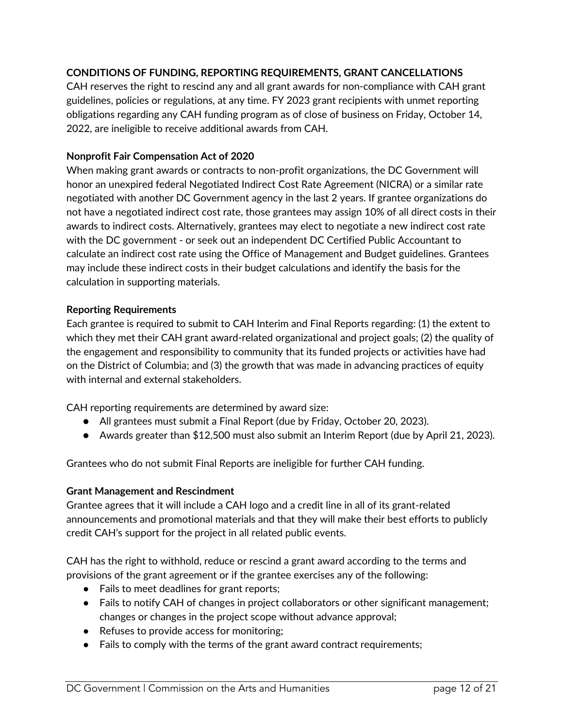#### **CONDITIONS OF FUNDING, REPORTING REQUIREMENTS, GRANT CANCELLATIONS**

CAH reserves the right to rescind any and all grant awards for non-compliance with CAH grant guidelines, policies or regulations, at any time. FY 2023 grant recipients with unmet reporting obligations regarding any CAH funding program as of close of business on Friday, October 14, 2022, are ineligible to receive additional awards from CAH.

#### **Nonprofit Fair Compensation Act of 2020**

When making grant awards or contracts to non-profit organizations, the DC Government will honor an unexpired federal Negotiated Indirect Cost Rate Agreement (NICRA) or a similar rate negotiated with another DC Government agency in the last 2 years. If grantee organizations do not have a negotiated indirect cost rate, those grantees may assign 10% of all direct costs in their awards to indirect costs. Alternatively, grantees may elect to negotiate a new indirect cost rate with the DC government - or seek out an independent DC Certified Public Accountant to calculate an indirect cost rate using the Office of Management and Budget guidelines. Grantees may include these indirect costs in their budget calculations and identify the basis for the calculation in supporting materials.

#### **Reporting Requirements**

Each grantee is required to submit to CAH Interim and Final Reports regarding: (1) the extent to which they met their CAH grant award-related organizational and project goals; (2) the quality of the engagement and responsibility to community that its funded projects or activities have had on the District of Columbia; and (3) the growth that was made in advancing practices of equity with internal and external stakeholders.

CAH reporting requirements are determined by award size:

- All grantees must submit a Final Report (due by Friday, October 20, 2023).
- Awards greater than \$12,500 must also submit an Interim Report (due by April 21, 2023).

Grantees who do not submit Final Reports are ineligible for further CAH funding.

#### **Grant Management and Rescindment**

Grantee agrees that it will include a CAH logo and a credit line in all of its grant-related announcements and promotional materials and that they will make their best efforts to publicly credit CAH's support for the project in all related public events.

CAH has the right to withhold, reduce or rescind a grant award according to the terms and provisions of the grant agreement or if the grantee exercises any of the following:

- Fails to meet deadlines for grant reports;
- Fails to notify CAH of changes in project collaborators or other significant management; changes or changes in the project scope without advance approval;
- Refuses to provide access for monitoring;
- Fails to comply with the terms of the grant award contract requirements;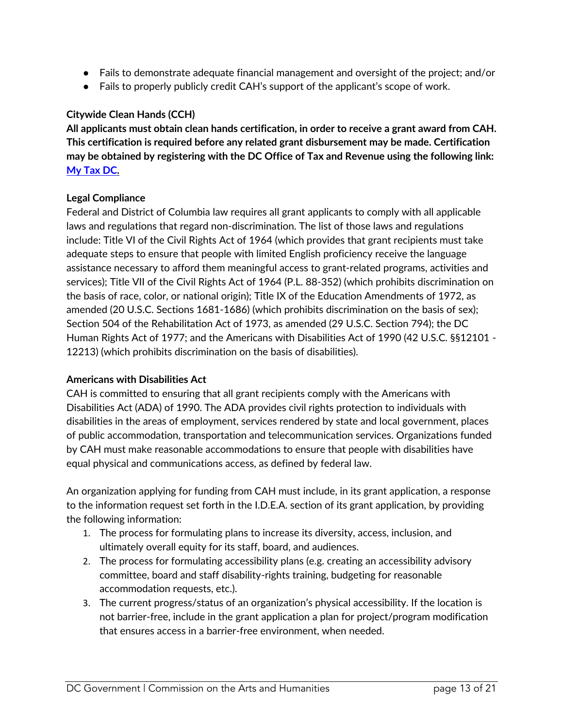- Fails to demonstrate adequate financial management and oversight of the project; and/or
- Fails to properly publicly credit CAH's support of the applicant's scope of work.

#### **Citywide Clean Hands (CCH)**

**All applicants must obtain clean hands certification, in order to receive a grant award from CAH. This certification is required before any related grant disbursement may be made. Certification may be obtained by registering with the DC Office of Tax and Revenue using the following link: [My Tax DC](https://mytax.dc.gov/_/).** 

#### **Legal Compliance**

Federal and District of Columbia law requires all grant applicants to comply with all applicable laws and regulations that regard non-discrimination. The list of those laws and regulations include: Title VI of the Civil Rights Act of 1964 (which provides that grant recipients must take adequate steps to ensure that people with limited English proficiency receive the language assistance necessary to afford them meaningful access to grant-related programs, activities and services); Title VII of the Civil Rights Act of 1964 (P.L. 88-352) (which prohibits discrimination on the basis of race, color, or national origin); Title IX of the Education Amendments of 1972, as amended (20 U.S.C. Sections 1681-1686) (which prohibits discrimination on the basis of sex); Section 504 of the Rehabilitation Act of 1973, as amended (29 U.S.C. Section 794); the DC Human Rights Act of 1977; and the Americans with Disabilities Act of 1990 (42 U.S.C. §§12101 - 12213) (which prohibits discrimination on the basis of disabilities).

#### **Americans with Disabilities Act**

CAH is committed to ensuring that all grant recipients comply with the Americans with Disabilities Act (ADA) of 1990. The ADA provides civil rights protection to individuals with disabilities in the areas of employment, services rendered by state and local government, places of public accommodation, transportation and telecommunication services. Organizations funded by CAH must make reasonable accommodations to ensure that people with disabilities have equal physical and communications access, as defined by federal law.

An organization applying for funding from CAH must include, in its grant application, a response to the information request set forth in the I.D.E.A. section of its grant application, by providing the following information:

- 1. The process for formulating plans to increase its diversity, access, inclusion, and ultimately overall equity for its staff, board, and audiences.
- 2. The process for formulating accessibility plans (e.g. creating an accessibility advisory committee, board and staff disability-rights training, budgeting for reasonable accommodation requests, etc.).
- 3. The current progress/status of an organization's physical accessibility. If the location is not barrier-free, include in the grant application a plan for project/program modification that ensures access in a barrier-free environment, when needed.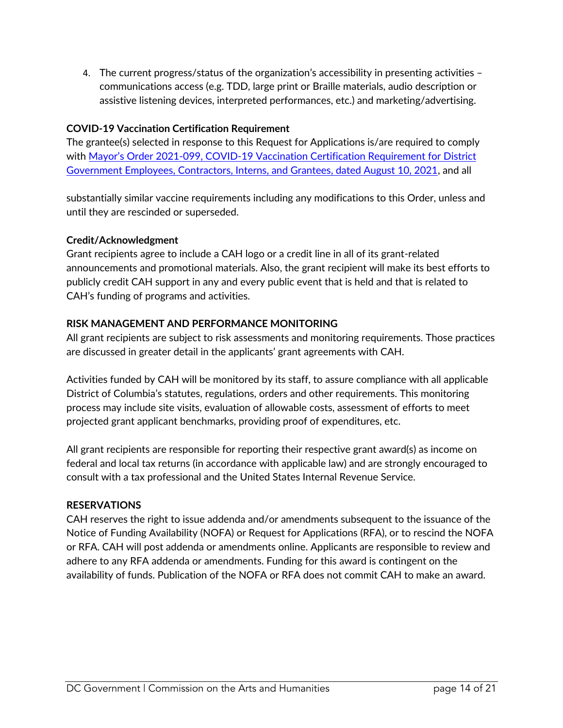4. The current progress/status of the organization's accessibility in presenting activities – communications access (e.g. TDD, large print or Braille materials, audio description or assistive listening devices, interpreted performances, etc.) and marketing/advertising.

## **COVID-19 Vaccination Certification Requirement**

The grantee(s) selected in response to this Request for Applications is/are required to comply with [Mayor's Order 2021-099, COVID-19 Vaccination Certification Requirement for District](https://coronavirus.dc.gov/sites/default/files/dc/sites/coronavirus/page_content/attachments/2021-147 Declaration of Public Emergency%3B Indoor Mask Requirements%3B Vaccination Requirements for DC Government Employees%3B etc.pdf) [Government Employees, Contractors, Interns, and Grantees, dated August 10, 2021](https://coronavirus.dc.gov/sites/default/files/dc/sites/coronavirus/page_content/attachments/2021-147 Declaration of Public Emergency%3B Indoor Mask Requirements%3B Vaccination Requirements for DC Government Employees%3B etc.pdf), and all

substantially similar vaccine requirements including any modifications to this Order, unless and until they are rescinded or superseded.

#### **Credit/Acknowledgment**

Grant recipients agree to include a CAH logo or a credit line in all of its grant-related announcements and promotional materials. Also, the grant recipient will make its best efforts to publicly credit CAH support in any and every public event that is held and that is related to CAH's funding of programs and activities.

#### **RISK MANAGEMENT AND PERFORMANCE MONITORING**

All grant recipients are subject to risk assessments and monitoring requirements. Those practices are discussed in greater detail in the applicants' grant agreements with CAH.

Activities funded by CAH will be monitored by its staff, to assure compliance with all applicable District of Columbia's statutes, regulations, orders and other requirements. This monitoring process may include site visits, evaluation of allowable costs, assessment of efforts to meet projected grant applicant benchmarks, providing proof of expenditures, etc.

All grant recipients are responsible for reporting their respective grant award(s) as income on federal and local tax returns (in accordance with applicable law) and are strongly encouraged to consult with a tax professional and the United States Internal Revenue Service.

#### **RESERVATIONS**

CAH reserves the right to issue addenda and/or amendments subsequent to the issuance of the Notice of Funding Availability (NOFA) or Request for Applications (RFA), or to rescind the NOFA or RFA. CAH will post addenda or amendments online. Applicants are responsible to review and adhere to any RFA addenda or amendments. Funding for this award is contingent on the availability of funds. Publication of the NOFA or RFA does not commit CAH to make an award.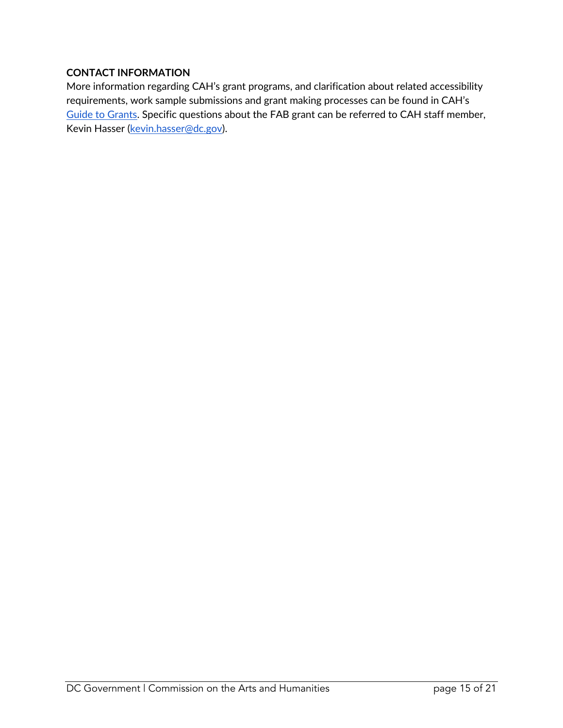#### <span id="page-14-0"></span>**CONTACT INFORMATION**

More information regarding CAH's grant programs, and clarification about related accessibility requirements, work sample submissions and grant making processes can be found in CAH's [Guide to Grants](https://dcarts.dc.gov/sites/default/files/dc/sites/dcarts/publication/attachments/FY2023 Guide to Grants_0.pdf). Specific questions about the FAB grant can be referred to CAH staff member, Kevin Hasser [\(kevin.hasser@dc.gov](mailto:kevin.hasser@dc.gov)).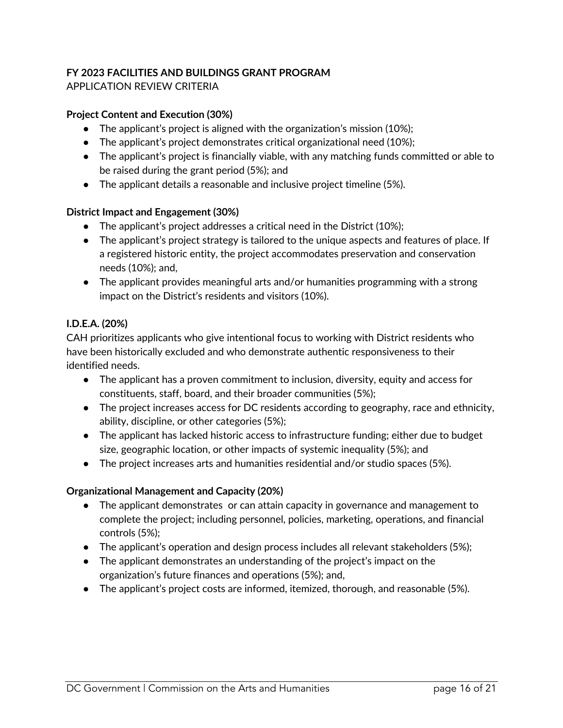#### **FY 2023 FACILITIES AND BUILDINGS GRANT PROGRAM** APPLICATION REVIEW CRITERIA

#### **Project Content and Execution (30%)**

- <span id="page-15-0"></span>● The applicant's project is aligned with the organization's mission (10%);
- The applicant's project demonstrates critical organizational need (10%);
- The applicant's project is financially viable, with any matching funds committed or able to be raised during the grant period (5%); and
- $\bullet$  The applicant details a reasonable and inclusive project timeline (5%).

#### **District Impact and Engagement (30%)**

- The applicant's project addresses a critical need in the District (10%);
- The applicant's project strategy is tailored to the unique aspects and features of place. If a registered historic entity, the project accommodates preservation and conservation needs (10%); and,
- The applicant provides meaningful arts and/or humanities programming with a strong impact on the District's residents and visitors (10%).

#### **I.D.E.A. (20%)**

CAH prioritizes applicants who give intentional focus to working with District residents who have been historically excluded and who demonstrate authentic responsiveness to their identified needs.

- The applicant has a proven commitment to inclusion, diversity, equity and access for constituents, staff, board, and their broader communities (5%);
- The project increases access for DC residents according to geography, race and ethnicity, ability, discipline, or other categories (5%);
- The applicant has lacked historic access to infrastructure funding; either due to budget size, geographic location, or other impacts of systemic inequality (5%); and
- The project increases arts and humanities residential and/or studio spaces (5%).

#### **Organizational Management and Capacity (20%)**

- The applicant demonstrates or can attain capacity in governance and management to complete the project; including personnel, policies, marketing, operations, and financial controls (5%);
- The applicant's operation and design process includes all relevant stakeholders (5%);
- The applicant demonstrates an understanding of the project's impact on the organization's future finances and operations (5%); and,
- The applicant's project costs are informed, itemized, thorough, and reasonable (5%).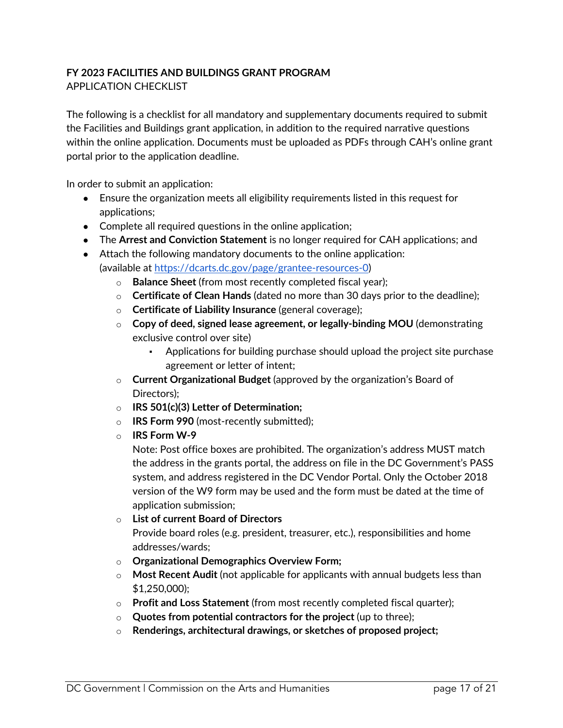## <span id="page-16-0"></span>**FY 2023 FACILITIES AND BUILDINGS GRANT PROGRAM** APPLICATION CHECKLIST

The following is a checklist for all mandatory and supplementary documents required to submit the Facilities and Buildings grant application, in addition to the required narrative questions within the online application. Documents must be uploaded as PDFs through CAH's online grant portal prior to the application deadline.

In order to submit an application:

- Ensure the organization meets all eligibility requirements listed in this request for applications;
- Complete all required questions in the online application;
- The **Arrest and Conviction Statement** is no longer required for CAH applications; and
- Attach the following mandatory documents to the online application: (available at<https://dcarts.dc.gov/page/grantee-resources-0>)
	- o **Balance Sheet** (from most recently completed fiscal year);
	- o **Certificate of Clean Hands** (dated no more than 30 days prior to the deadline);
	- o **Certificate of Liability Insurance** (general coverage);
	- o **Copy of deed, signed lease agreement, or legally-binding MOU** (demonstrating exclusive control over site)
		- Applications for building purchase should upload the project site purchase agreement or letter of intent;
	- o **Current Organizational Budget** (approved by the organization's Board of Directors);
	- o **IRS 501(c)(3) Letter of Determination;**
	- o **IRS Form 990** (most-recently submitted);
	- o **IRS Form W-9**

Note: Post office boxes are prohibited. The organization's address MUST match the address in the grants portal, the address on file in the DC Government's PASS system, and address registered in the DC Vendor Portal. Only the October 2018 version of the W9 form may be used and the form must be dated at the time of application submission;

- o **List of current Board of Directors**  Provide board roles (e.g. president, treasurer, etc.), responsibilities and home addresses/wards;
- o **Organizational Demographics Overview Form;**
- o **Most Recent Audit** (not applicable for applicants with annual budgets less than \$1,250,000);
- o **Profit and Loss Statement** (from most recently completed fiscal quarter);
- o **Quotes from potential contractors for the project** (up to three);
- o **Renderings, architectural drawings, or sketches of proposed project;**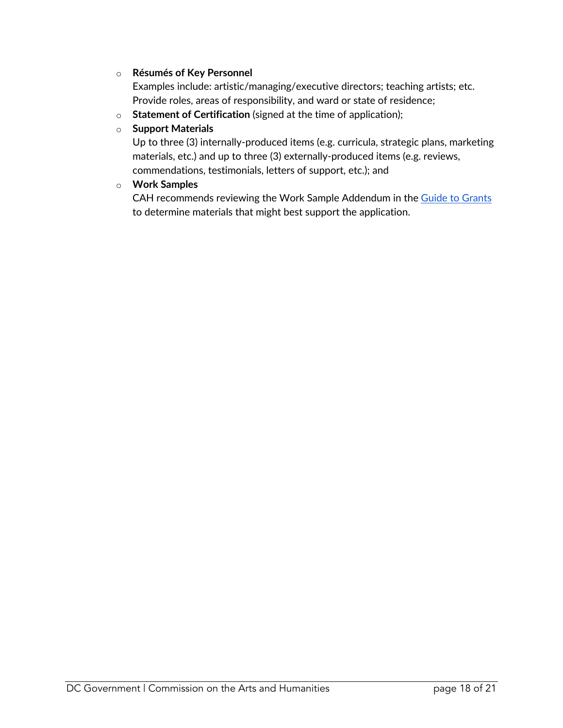#### o **Résumés of Key Personnel**

Examples include: artistic/managing/executive directors; teaching artists; etc. Provide roles, areas of responsibility, and ward or state of residence;

o **Statement of Certification** (signed at the time of application);

#### o **Support Materials**

Up to three (3) internally-produced items (e.g. curricula, strategic plans, marketing materials, etc.) and up to three (3) externally-produced items (e.g. reviews, commendations, testimonials, letters of support, etc.); and

#### o **Work Samples**

CAH recommends reviewing the Work Sample Addendum in the [Guide to Grants](https://dcarts.dc.gov/sites/default/files/dc/sites/dcarts/publication/attachments/FY2023 Guide to Grants_0.pdf) to determine materials that might best support the application.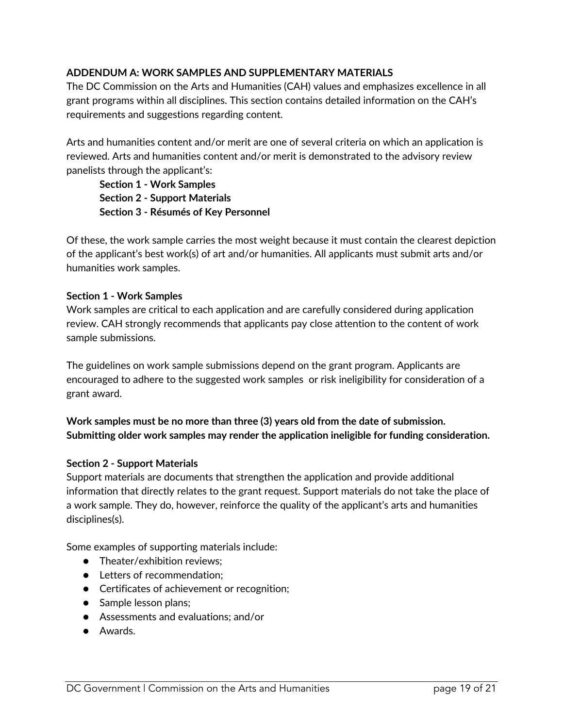#### **ADDENDUM A: WORK SAMPLES AND SUPPLEMENTARY MATERIALS**

The DC Commission on the Arts and Humanities (CAH) values and emphasizes excellence in all grant programs within all disciplines. This section contains detailed information on the CAH's requirements and suggestions regarding content.

Arts and humanities content and/or merit are one of several criteria on which an application is reviewed. Arts and humanities content and/or merit is demonstrated to the advisory review panelists through the applicant's:

<span id="page-18-0"></span>**Section 1 - Work Samples Section 2 - Support Materials Section 3 - Résumés of Key Personnel**

Of these, the work sample carries the most weight because it must contain the clearest depiction of the applicant's best work(s) of art and/or humanities. All applicants must submit arts and/or humanities work samples.

#### **Section 1 - Work Samples**

Work samples are critical to each application and are carefully considered during application review. CAH strongly recommends that applicants pay close attention to the content of work sample submissions.

The guidelines on work sample submissions depend on the grant program. Applicants are encouraged to adhere to the suggested work samples or risk ineligibility for consideration of a grant award.

#### **Work samples must be no more than three (3) years old from the date of submission. Submitting older work samples may render the application ineligible for funding consideration.**

#### **Section 2 - Support Materials**

Support materials are documents that strengthen the application and provide additional information that directly relates to the grant request. Support materials do not take the place of a work sample. They do, however, reinforce the quality of the applicant's arts and humanities disciplines(s).

Some examples of supporting materials include:

- Theater/exhibition reviews:
- Letters of recommendation;
- Certificates of achievement or recognition;
- Sample lesson plans;
- Assessments and evaluations; and/or
- Awards.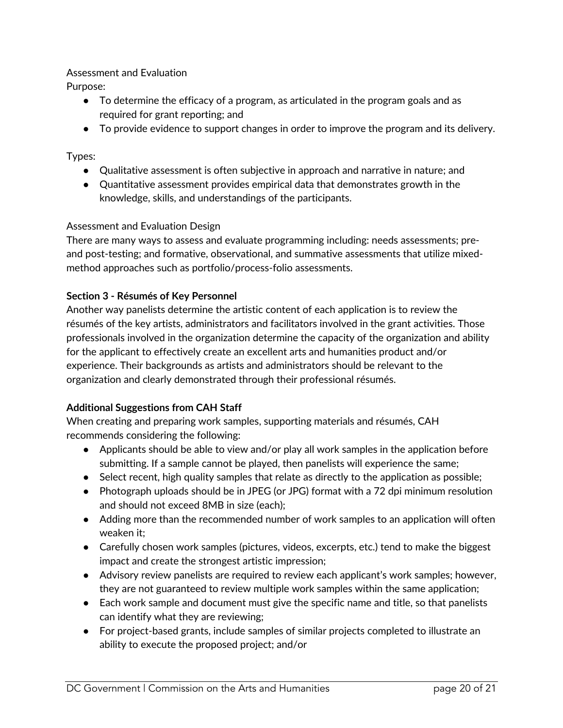#### Assessment and Evaluation

Purpose:

- To determine the efficacy of a program, as articulated in the program goals and as required for grant reporting; and
- To provide evidence to support changes in order to improve the program and its delivery.

#### Types:

- Qualitative assessment is often subjective in approach and narrative in nature; and
- Quantitative assessment provides empirical data that demonstrates growth in the knowledge, skills, and understandings of the participants.

#### Assessment and Evaluation Design

There are many ways to assess and evaluate programming including: needs assessments; preand post-testing; and formative, observational, and summative assessments that utilize mixedmethod approaches such as portfolio/process-folio assessments.

#### **Section 3 - Résumés of Key Personnel**

Another way panelists determine the artistic content of each application is to review the résumés of the key artists, administrators and facilitators involved in the grant activities. Those professionals involved in the organization determine the capacity of the organization and ability for the applicant to effectively create an excellent arts and humanities product and/or experience. Their backgrounds as artists and administrators should be relevant to the organization and clearly demonstrated through their professional résumés.

#### **Additional Suggestions from CAH Staff**

When creating and preparing work samples, supporting materials and résumés, CAH recommends considering the following:

- Applicants should be able to view and/or play all work samples in the application before submitting. If a sample cannot be played, then panelists will experience the same;
- Select recent, high quality samples that relate as directly to the application as possible;
- Photograph uploads should be in JPEG (or JPG) format with a 72 dpi minimum resolution and should not exceed 8MB in size (each);
- Adding more than the recommended number of work samples to an application will often weaken it;
- Carefully chosen work samples (pictures, videos, excerpts, etc.) tend to make the biggest impact and create the strongest artistic impression;
- Advisory review panelists are required to review each applicant's work samples; however, they are not guaranteed to review multiple work samples within the same application;
- Each work sample and document must give the specific name and title, so that panelists can identify what they are reviewing;
- For project-based grants, include samples of similar projects completed to illustrate an ability to execute the proposed project; and/or